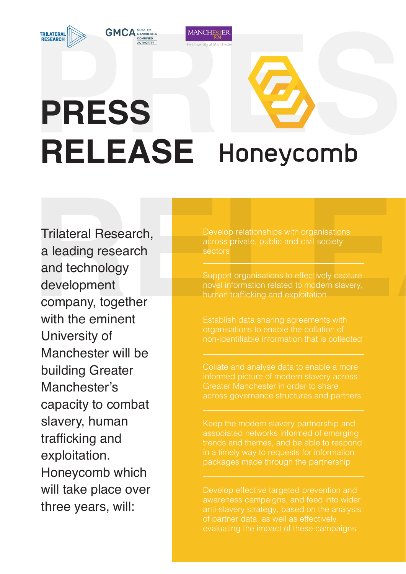**MANCHESTER** 

## **PRESS**<br>**PRESS**<br>RELEASE Honeycomb **RELEASE**

**RELEASE** Trilateral Research, a leading research and technology development company, together with the eminent University of Manchester will be building Greater Manchester's capacity to combat slavery, human trafficking and exploitation. Honeycomb which will take place over three years, will:

Develop relationships with organisations across private, public and civil society sectors

Support organisations to effectively capture novel information related to modern slavery, human trafficking and exploitation

non-identifiable information that is collected

informed picture of modern slavery across Greater Manchester in order to share

in a timely way to requests for information